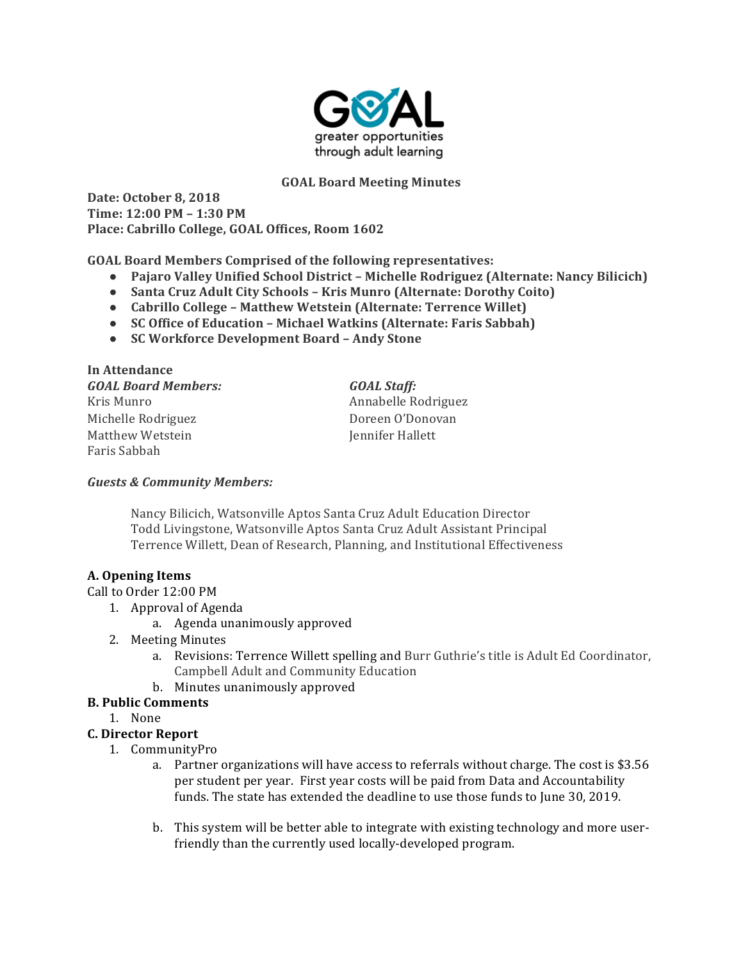

### **GOAL Board Meeting Minutes**

**Date: October 8, 2018 Time: 12:00 PM – 1:30 PM** Place: Cabrillo College, GOAL Offices, Room 1602

**GOAL Board Members Comprised of the following representatives:** 

- **Pajaro Valley Unified School District** Michelle Rodriguez (Alternate: Nancy Bilicich)
- Santa Cruz Adult City Schools Kris Munro (Alternate: Dorothy Coito)
- Cabrillo College Matthew Wetstein (Alternate: Terrence Willet)
- **SC Office of Education Michael Watkins (Alternate: Faris Sabbah)**
- **SC Workforce Development Board – Andy Stone**

| In Attendance              |                     |
|----------------------------|---------------------|
| <b>GOAL Board Members:</b> | <b>GOAL Staff:</b>  |
| Kris Munro                 | Annabelle Rodriguez |
| Michelle Rodriguez         | Doreen O'Donovan    |
| Matthew Wetstein           | Jennifer Hallett    |
| Faris Sabbah               |                     |

### *Guests & Community Members:*

Nancy Bilicich, Watsonville Aptos Santa Cruz Adult Education Director Todd Livingstone, Watsonville Aptos Santa Cruz Adult Assistant Principal Terrence Willett, Dean of Research, Planning, and Institutional Effectiveness

# **A. Opening Items**

### Call to Order 12:00 PM

- 1. Approval of Agenda
	- a. Agenda unanimously approved
- 2. Meeting Minutes
	- a. Revisions: Terrence Willett spelling and Burr Guthrie's title is Adult Ed Coordinator, Campbell Adult and Community Education
	- b. Minutes unanimously approved

# **B. Public Comments**

1. None

# **C. Director Report**

- 1. CommunityPro
	- a. Partner organizations will have access to referrals without charge. The cost is \$3.56 per student per year. First year costs will be paid from Data and Accountability funds. The state has extended the deadline to use those funds to June 30, 2019.
	- b. This system will be better able to integrate with existing technology and more userfriendly than the currently used locally-developed program.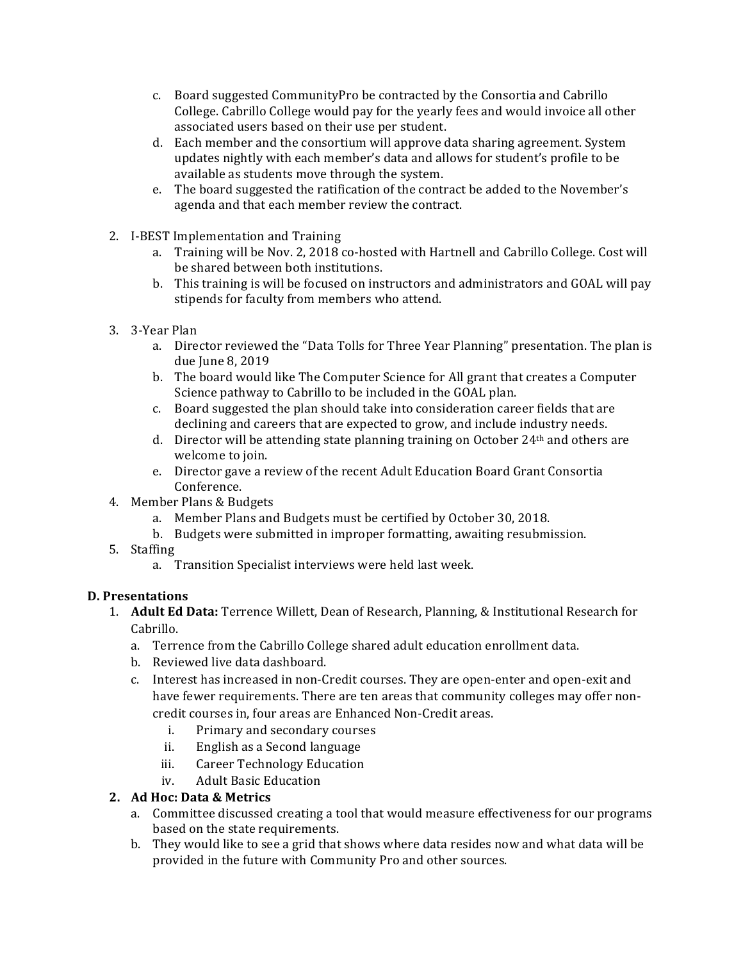- c. Board suggested CommunityPro be contracted by the Consortia and Cabrillo College. Cabrillo College would pay for the yearly fees and would invoice all other associated users based on their use per student.
- d. Each member and the consortium will approve data sharing agreement. System updates nightly with each member's data and allows for student's profile to be available as students move through the system.
- e. The board suggested the ratification of the contract be added to the November's agenda and that each member review the contract.
- 2. I-BEST Implementation and Training
	- a. Training will be Nov. 2, 2018 co-hosted with Hartnell and Cabrillo College. Cost will be shared between both institutions.
	- b. This training is will be focused on instructors and administrators and GOAL will pay stipends for faculty from members who attend.
- 3. 3-Year Plan
	- a. Director reviewed the "Data Tolls for Three Year Planning" presentation. The plan is due June 8, 2019
	- b. The board would like The Computer Science for All grant that creates a Computer Science pathway to Cabrillo to be included in the GOAL plan.
	- c. Board suggested the plan should take into consideration career fields that are declining and careers that are expected to grow, and include industry needs.
	- d. Director will be attending state planning training on October 24<sup>th</sup> and others are welcome to join.
	- e. Director gave a review of the recent Adult Education Board Grant Consortia Conference.
- 4. Member Plans & Budgets
	- a. Member Plans and Budgets must be certified by October 30, 2018.
	- b. Budgets were submitted in improper formatting, awaiting resubmission.
- 5. Staffing
	- a. Transition Specialist interviews were held last week.

# **D. Presentations**

- 1. **Adult Ed Data:** Terrence Willett, Dean of Research, Planning, & Institutional Research for Cabrillo.
	- a. Terrence from the Cabrillo College shared adult education enrollment data.
	- b. Reviewed live data dashboard.
	- c. Interest has increased in non-Credit courses. They are open-enter and open-exit and have fewer requirements. There are ten areas that community colleges may offer noncredit courses in, four areas are Enhanced Non-Credit areas.
		- i. Primary and secondary courses
		- ii. English as a Second language
		- iii. Career Technology Education
		- iv. Adult Basic Education

# **2. Ad Hoc: Data & Metrics**

- a. Committee discussed creating a tool that would measure effectiveness for our programs based on the state requirements.
- b. They would like to see a grid that shows where data resides now and what data will be provided in the future with Community Pro and other sources.